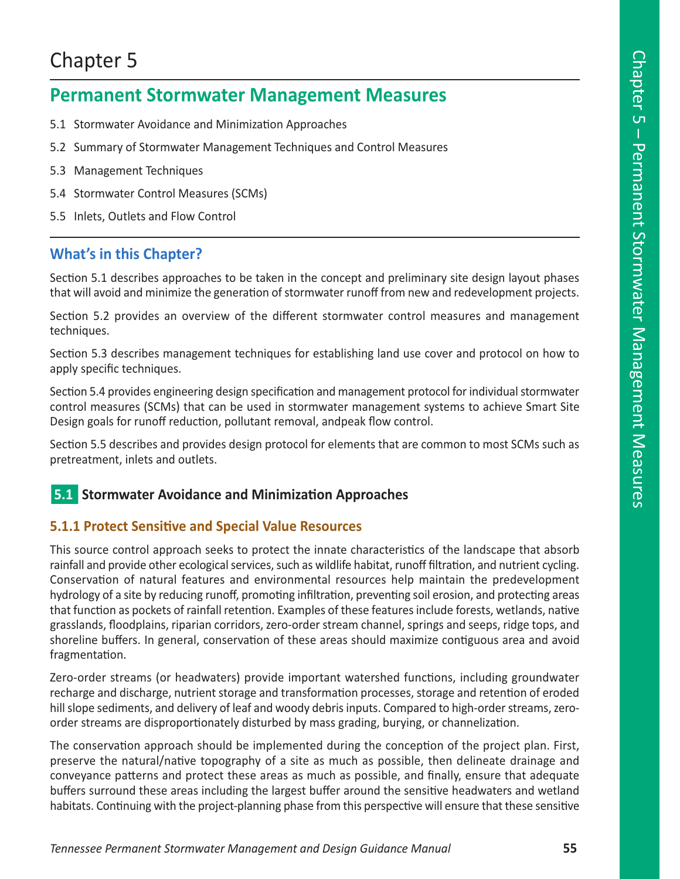# Chapter 5

# **Permanent Stormwater Management Measures**

- 5.1 Stormwater Avoidance and Minimization Approaches
- 5.2 Summary of Stormwater Management Techniques and Control Measures
- 5.3 Management Techniques
- 5.4 Stormwater Control Measures (SCMs)
- 5.5 Inlets, Outlets and Flow Control

# **What's in this Chapter?**

Section 5.1 describes approaches to be taken in the concept and preliminary site design layout phases that will avoid and minimize the generation of stormwater runoff from new and redevelopment projects.

Section 5.2 provides an overview of the different stormwater control measures and management techniques.

Section 5.3 describes management techniques for establishing land use cover and protocol on how to apply specific techniques.

Section 5.4 provides engineering design specification and management protocol for individual stormwater control measures (SCMs) that can be used in stormwater management systems to achieve Smart Site Design goals for runoff reduction, pollutant removal, andpeak flow control.

Section 5.5 describes and provides design protocol for elements that are common to most SCMs such as pretreatment, inlets and outlets.

# **5.1** Stormwater Avoidance and Minimization Approaches

## **5.1.1 Protect Sensitive and Special Value Resources**

This source control approach seeks to protect the innate characteristics of the landscape that absorb rainfall and provide other ecological services, such as wildlife habitat, runoff filtration, and nutrient cycling. Conservation of natural features and environmental resources help maintain the predevelopment hydrology of a site by reducing runoff, promoting infiltration, preventing soil erosion, and protecting areas that function as pockets of rainfall retention. Examples of these features include forests, wetlands, native grasslands, floodplains, riparian corridors, zero-order stream channel, springs and seeps, ridge tops, and shoreline buffers. In general, conservation of these areas should maximize contiguous area and avoid fragmentation.

Zero-order streams (or headwaters) provide important watershed functions, including groundwater recharge and discharge, nutrient storage and transformation processes, storage and retention of eroded hill slope sediments, and delivery of leaf and woody debris inputs. Compared to high-order streams, zeroorder streams are disproportionately disturbed by mass grading, burying, or channelization.

The conservation approach should be implemented during the conception of the project plan. First, preserve the natural/native topography of a site as much as possible, then delineate drainage and conveyance patterns and protect these areas as much as possible, and finally, ensure that adequate buffers surround these areas including the largest buffer around the sensitive headwaters and wetland habitats. Continuing with the project-planning phase from this perspective will ensure that these sensitive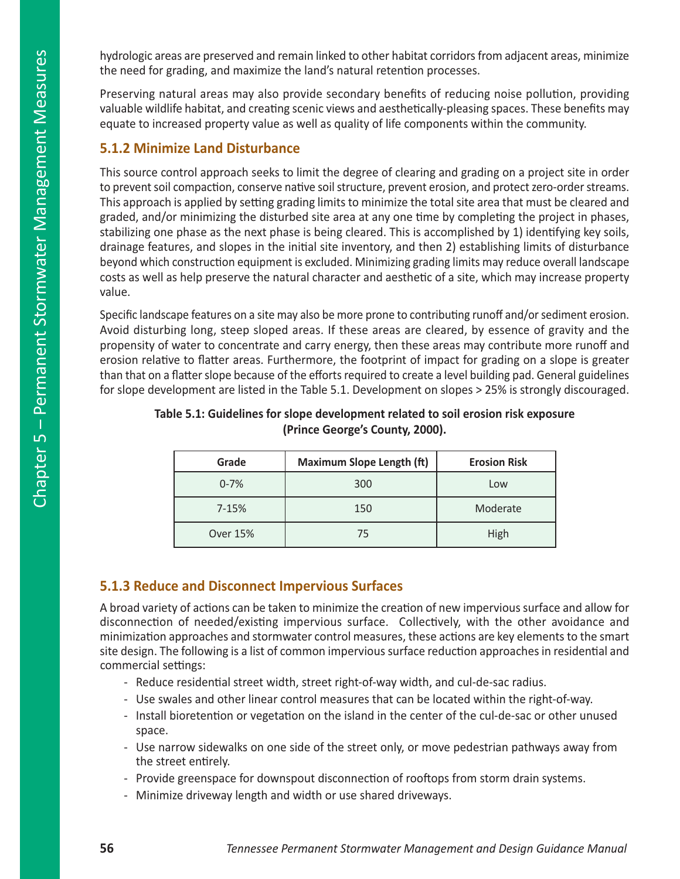hydrologic areas are preserved and remain linked to other habitat corridors from adjacent areas, minimize the need for grading, and maximize the land's natural retention processes.

Preserving natural areas may also provide secondary benefits of reducing noise pollution, providing valuable wildlife habitat, and creating scenic views and aesthetically-pleasing spaces. These benefits may equate to increased property value as well as quality of life components within the community.

## **5.1.2 Minimize Land Disturbance**

This source control approach seeks to limit the degree of clearing and grading on a project site in order to prevent soil compaction, conserve native soil structure, prevent erosion, and protect zero-order streams. This approach is applied by setting grading limits to minimize the total site area that must be cleared and graded, and/or minimizing the disturbed site area at any one time by completing the project in phases, stabilizing one phase as the next phase is being cleared. This is accomplished by 1) identifying key soils, drainage features, and slopes in the initial site inventory, and then 2) establishing limits of disturbance beyond which construction equipment is excluded. Minimizing grading limits may reduce overall landscape costs as well as help preserve the natural character and aesthetic of a site, which may increase property value.

Specific landscape features on a site may also be more prone to contributing runoff and/or sediment erosion. Avoid disturbing long, steep sloped areas. If these areas are cleared, by essence of gravity and the propensity of water to concentrate and carry energy, then these areas may contribute more runoff and erosion relative to flatter areas. Furthermore, the footprint of impact for grading on a slope is greater than that on a flatter slope because of the efforts required to create a level building pad. General guidelines for slope development are listed in the Table 5.1. Development on slopes > 25% is strongly discouraged.

| Grade     | <b>Maximum Slope Length (ft)</b> | <b>Erosion Risk</b> |
|-----------|----------------------------------|---------------------|
| $0 - 7%$  | 300                              | Low                 |
| $7 - 15%$ | 150                              | Moderate            |
| Over 15%  | 75                               | High                |

## **Table 5.1: Guidelines for slope development related to soil erosion risk exposure (Prince George's County, 2000).**

# **5.1.3 Reduce and Disconnect Impervious Surfaces**

A broad variety of actions can be taken to minimize the creation of new impervious surface and allow for disconnection of needed/existing impervious surface. Collectively, with the other avoidance and minimization approaches and stormwater control measures, these actions are key elements to the smart site design. The following is a list of common impervious surface reduction approaches in residential and commercial settings:

- Reduce residential street width, street right-of-way width, and cul-de-sac radius.
- Use swales and other linear control measures that can be located within the right-of-way.
- Install bioretention or vegetation on the island in the center of the cul-de-sac or other unused space.
- Use narrow sidewalks on one side of the street only, or move pedestrian pathways away from the street entirely.
- Provide greenspace for downspout disconnection of rooftops from storm drain systems.
- Minimize driveway length and width or use shared driveways.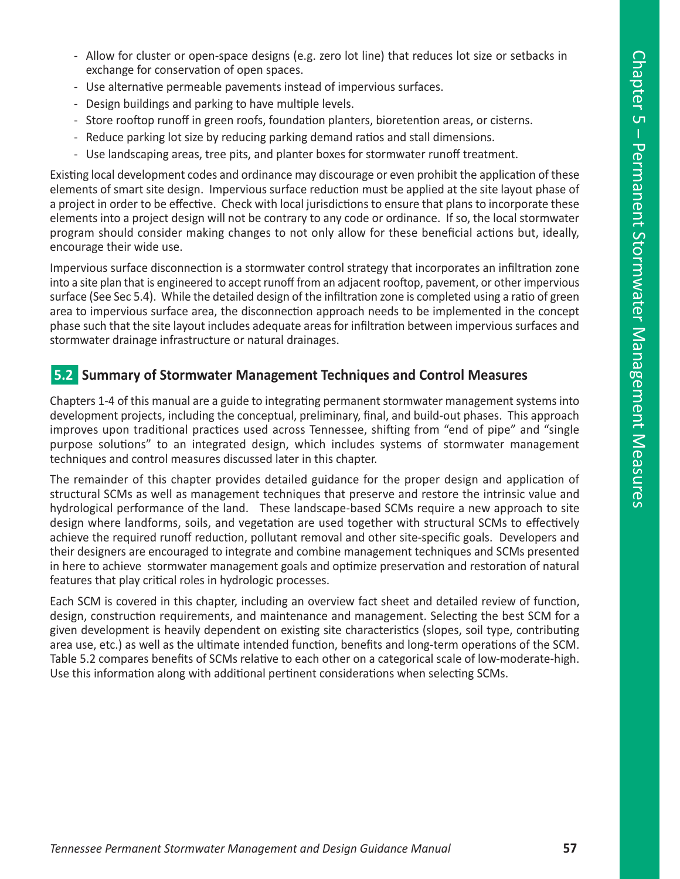- Allow for cluster or open-space designs (e.g. zero lot line) that reduces lot size or setbacks in exchange for conservation of open spaces.
- Use alternative permeable pavements instead of impervious surfaces.
- Design buildings and parking to have multiple levels.
- Store rooftop runoff in green roofs, foundation planters, bioretention areas, or cisterns.
- Reduce parking lot size by reducing parking demand ratios and stall dimensions.
- Use landscaping areas, tree pits, and planter boxes for stormwater runoff treatment.

Existing local development codes and ordinance may discourage or even prohibit the application of these elements of smart site design. Impervious surface reduction must be applied at the site layout phase of a project in order to be effective. Check with local jurisdictions to ensure that plans to incorporate these elements into a project design will not be contrary to any code or ordinance. If so, the local stormwater program should consider making changes to not only allow for these beneficial actions but, ideally, encourage their wide use.

Impervious surface disconnection is a stormwater control strategy that incorporates an infiltration zone into a site plan that is engineered to accept runoff from an adjacent rooftop, pavement, or other impervious surface (See Sec 5.4). While the detailed design of the infiltration zone is completed using a ratio of green area to impervious surface area, the disconnection approach needs to be implemented in the concept phase such that the site layout includes adequate areas for infiltration between impervious surfaces and stormwater drainage infrastructure or natural drainages.

## n**5.2 Summary of Stormwater Management Techniques and Control Measures**

Chapters 1-4 of this manual are a guide to integrating permanent stormwater management systems into development projects, including the conceptual, preliminary, final, and build-out phases. This approach improves upon traditional practices used across Tennessee, shifting from "end of pipe" and "single purpose solutions" to an integrated design, which includes systems of stormwater management techniques and control measures discussed later in this chapter.

The remainder of this chapter provides detailed guidance for the proper design and application of structural SCMs as well as management techniques that preserve and restore the intrinsic value and hydrological performance of the land. These landscape-based SCMs require a new approach to site design where landforms, soils, and vegetation are used together with structural SCMs to effectively achieve the required runoff reduction, pollutant removal and other site-specific goals. Developers and their designers are encouraged to integrate and combine management techniques and SCMs presented in here to achieve stormwater management goals and optimize preservation and restoration of natural features that play critical roles in hydrologic processes.

Each SCM is covered in this chapter, including an overview fact sheet and detailed review of function, design, construction requirements, and maintenance and management. Selecting the best SCM for a given development is heavily dependent on existing site characteristics (slopes, soil type, contributing area use, etc.) as well as the ultimate intended function, benefits and long-term operations of the SCM. Table 5.2 compares benefits of SCMs relative to each other on a categorical scale of low-moderate-high. Use this information along with additional pertinent considerations when selecting SCMs.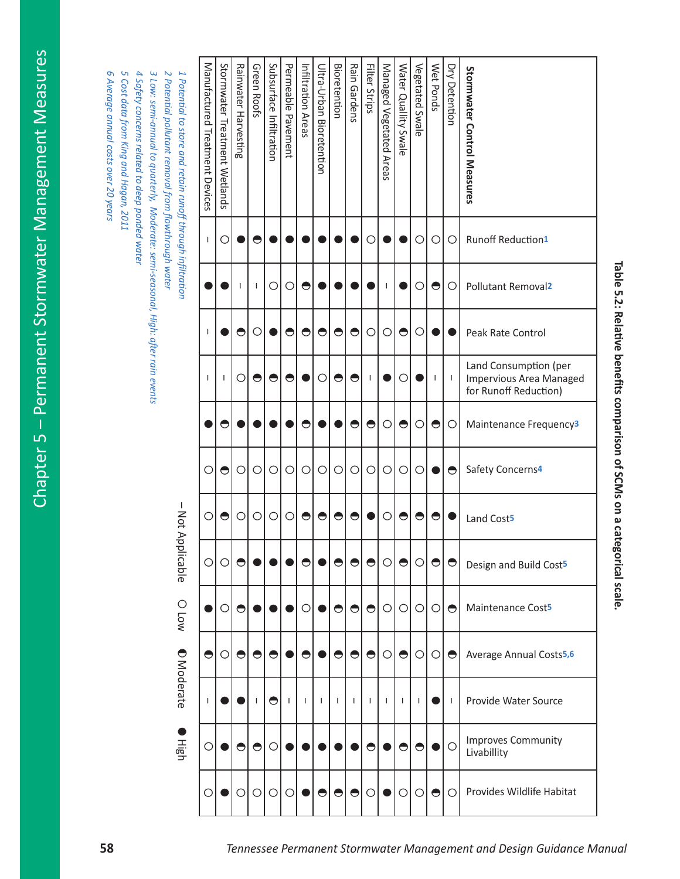| Table 5.2: Relative benefits comparison of SCMs on a categori | Stormwater Control Measures<br>Runoff Reduction1<br>Pollutant Removal <sup>2</sup><br>Peak Rate Control<br>Land Consumption (per<br><b>Impervious Area Managed</b><br>for Runoff Reduction)<br>Maintenance Frequency <sup>3</sup><br>Safety Concerns <sup>4</sup> | <b>Dry Detention</b><br>$\circ$<br>$\circ$<br>$\mathbf{I}$<br>$\circ$<br>$\bullet$ | Wet Ponds<br>$\circ$<br>$\bullet$<br>$\overline{\phantom{a}}$<br>$\bigcirc$<br>$\bullet$ | Vegetated Swale<br>$\circ$<br>О<br>$\circ$<br>$\circ$<br>$\circ$ | Water Quallity Swale<br>$\bullet$<br>О<br>$\bullet$<br>$\bigcirc$ | Managed Vegetated Areas<br>I.<br>$\circ$<br>$\circ$<br>$\circ$ | Filter Strips<br>O<br>$\circ$<br>$\mathbf{I}$<br>$\bigcirc$<br>$\bigcirc$ | Rain Gardens<br>$\bullet$<br>$\bullet$<br>$\bullet$<br>$\bigcirc$ | <b>Bioretention</b><br>$\bullet$<br>$\bigcirc$<br>$\bigcirc$ | Ultra-Urban Bioretention<br>$\bullet$<br>O<br>$\bigcirc$ | Infiltration Areas<br>$\bullet$<br>$\bullet$<br>$\bullet$<br>$\circ$ | Permeable Pavement<br>$\circ$<br>$\bullet$<br>$\bigcirc$<br>$\circ$ | Subsurface Infiltration<br>$\circ$<br>$\bullet$<br>$\bigcirc$ | Green Roofs<br>◓<br>$\mathbf{I}$<br>O<br>$\bullet$<br>$\circ$ | Rainwater Harvesting<br>$\bullet$<br>O<br>$\circ$ | Stormwater Treatment Wetlands<br>O<br>-1<br>$\bullet$<br>$\bullet$ | Manufactured Treatment Devices<br>$\mathsf{I}$<br>I.<br>I.<br>$\circ$ |
|---------------------------------------------------------------|-------------------------------------------------------------------------------------------------------------------------------------------------------------------------------------------------------------------------------------------------------------------|------------------------------------------------------------------------------------|------------------------------------------------------------------------------------------|------------------------------------------------------------------|-------------------------------------------------------------------|----------------------------------------------------------------|---------------------------------------------------------------------------|-------------------------------------------------------------------|--------------------------------------------------------------|----------------------------------------------------------|----------------------------------------------------------------------|---------------------------------------------------------------------|---------------------------------------------------------------|---------------------------------------------------------------|---------------------------------------------------|--------------------------------------------------------------------|-----------------------------------------------------------------------|
|                                                               | Land Cost <sup>5</sup><br>Design and Build Cost5                                                                                                                                                                                                                  | $\Theta$ $\Theta$                                                                  | $\bullet$                                                                                | $\bullet$                                                        | $\bullet$<br><u>elelelelelelol</u>                                | $\circ$                                                        |                                                                           | $\bullet$                                                         | $\bullet$                                                    | $\bullet$                                                | $\bullet$                                                            | $\circ$                                                             | $\circ$                                                       | $\circ$<br>elelelel                                           | $\circ$                                           | $\bullet$<br>$\cap$                                                | $\circ$<br>റി                                                         |
| ical scale                                                    | Maintenance Cost <sup>5</sup>                                                                                                                                                                                                                                     | $\bullet$                                                                          | $\circ$                                                                                  | $\circ$                                                          | $\circ$                                                           |                                                                |                                                                           |                                                                   | elelelol                                                     | $\bullet$ l                                              | $\circ$                                                              |                                                                     |                                                               |                                                               | $\bigcirc$                                        | $\circ$                                                            |                                                                       |
|                                                               | Average Annual Costs <sup>5,6</sup>                                                                                                                                                                                                                               | $\bigcirc$                                                                         | $\circ$                                                                                  | $\circ$                                                          | O                                                                 |                                                                | $\Theta$ $\Theta$                                                         |                                                                   | $\bullet$                                                    |                                                          | $\bullet$                                                            |                                                                     | $\bigcirc$                                                    | $\bigcirc$                                                    | $\bigcirc$                                        | $\circ$                                                            | $\bullet$                                                             |
|                                                               | Provide Water Source                                                                                                                                                                                                                                              | $\mathbf{I}$                                                                       |                                                                                          |                                                                  |                                                                   |                                                                |                                                                           |                                                                   |                                                              |                                                          |                                                                      |                                                                     | $\bullet$                                                     | $\mathbf{I}$                                                  |                                                   |                                                                    |                                                                       |
|                                                               | <b>Improves Community</b><br>Livabillity                                                                                                                                                                                                                          | O                                                                                  |                                                                                          | $\bigcirc$                                                       | $\bigcirc$                                                        |                                                                | $\bigcirc$                                                                |                                                                   |                                                              |                                                          |                                                                      |                                                                     | $\circ$                                                       | $\bigcirc$                                                    | $\bigcirc$                                        |                                                                    | $\circ$                                                               |
|                                                               | Provides Wildlife Habitat                                                                                                                                                                                                                                         | $\circ$                                                                            | $\bullet$                                                                                | $\circ$                                                          | О                                                                 |                                                                | $\circ$                                                                   | $\bullet$                                                         | $\bigcirc$                                                   | $\bullet$                                                |                                                                      | $\circ$                                                             | $\circ$                                                       | $\circ$                                                       | O                                                 |                                                                    | О                                                                     |

Filter Strips

| ומיכומים במקר המונים בוות בוות הווה מונים ביו ביווי הרומים במק |
|----------------------------------------------------------------|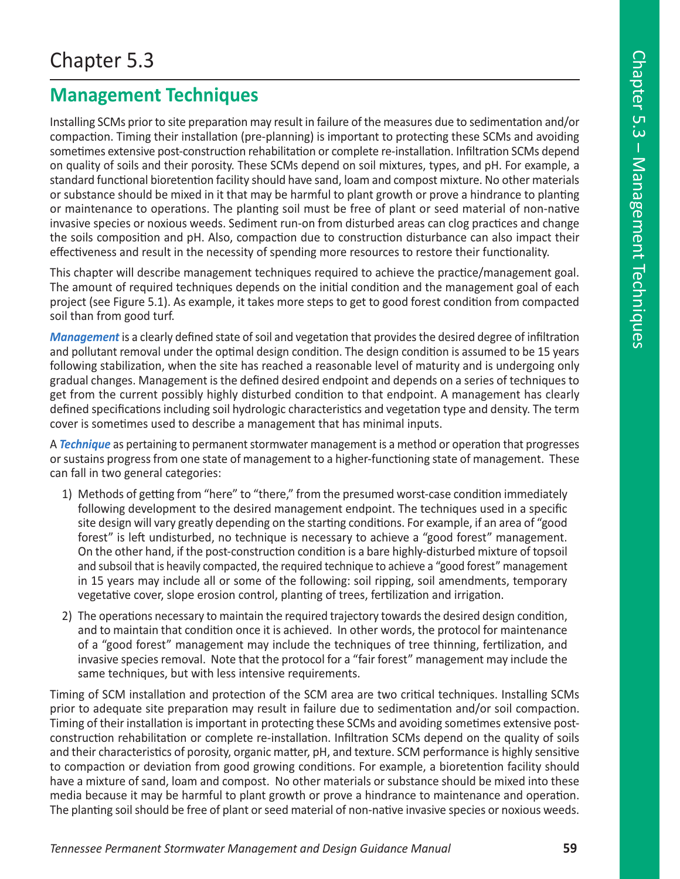# **Management Techniques**

Installing SCMs prior to site preparation may result in failure of the measures due to sedimentation and/or compaction. Timing their installation (pre-planning) is important to protecting these SCMs and avoiding sometimes extensive post-construction rehabilitation or complete re-installation. Infiltration SCMs depend on quality of soils and their porosity. These SCMs depend on soil mixtures, types, and pH. For example, a standard functional bioretention facility should have sand, loam and compost mixture. No other materials or substance should be mixed in it that may be harmful to plant growth or prove a hindrance to planting or maintenance to operations. The planting soil must be free of plant or seed material of non-native invasive species or noxious weeds. Sediment run-on from disturbed areas can clog practices and change the soils composition and pH. Also, compaction due to construction disturbance can also impact their effectiveness and result in the necessity of spending more resources to restore their functionality.

This chapter will describe management techniques required to achieve the practice/management goal. The amount of required techniques depends on the initial condition and the management goal of each project (see Figure 5.1). As example, it takes more steps to get to good forest condition from compacted soil than from good turf.

*Management* is a clearly defined state of soil and vegetation that provides the desired degree of infiltration and pollutant removal under the optimal design condition. The design condition is assumed to be 15 years following stabilization, when the site has reached a reasonable level of maturity and is undergoing only gradual changes. Management is the defined desired endpoint and depends on a series of techniques to get from the current possibly highly disturbed condition to that endpoint. A management has clearly defined specifications including soil hydrologic characteristics and vegetation type and density. The term cover is sometimes used to describe a management that has minimal inputs.

A *Technique* as pertaining to permanent stormwater management is a method or operation that progresses or sustains progress from one state of management to a higher-functioning state of management. These can fall in two general categories:

- 1) Methods of getting from "here" to "there," from the presumed worst-case condition immediately following development to the desired management endpoint. The techniques used in a specific site design will vary greatly depending on the starting conditions. For example, if an area of "good forest" is left undisturbed, no technique is necessary to achieve a "good forest" management. On the other hand, if the post-construction condition is a bare highly-disturbed mixture of topsoil and subsoil that is heavily compacted, the required technique to achieve a "good forest" management in 15 years may include all or some of the following: soil ripping, soil amendments, temporary vegetative cover, slope erosion control, planting of trees, fertilization and irrigation.
- 2) The operations necessary to maintain the required trajectory towards the desired design condition, and to maintain that condition once it is achieved. In other words, the protocol for maintenance of a "good forest" management may include the techniques of tree thinning, fertilization, and invasive species removal. Note that the protocol for a "fair forest" management may include the same techniques, but with less intensive requirements.

Timing of SCM installation and protection of the SCM area are two critical techniques. Installing SCMs prior to adequate site preparation may result in failure due to sedimentation and/or soil compaction. Timing of their installation is important in protecting these SCMs and avoiding sometimes extensive postconstruction rehabilitation or complete re-installation. Infiltration SCMs depend on the quality of soils and their characteristics of porosity, organic matter, pH, and texture. SCM performance is highly sensitive to compaction or deviation from good growing conditions. For example, a bioretention facility should have a mixture of sand, loam and compost. No other materials or substance should be mixed into these media because it may be harmful to plant growth or prove a hindrance to maintenance and operation. The planting soil should be free of plant or seed material of non-native invasive species or noxious weeds.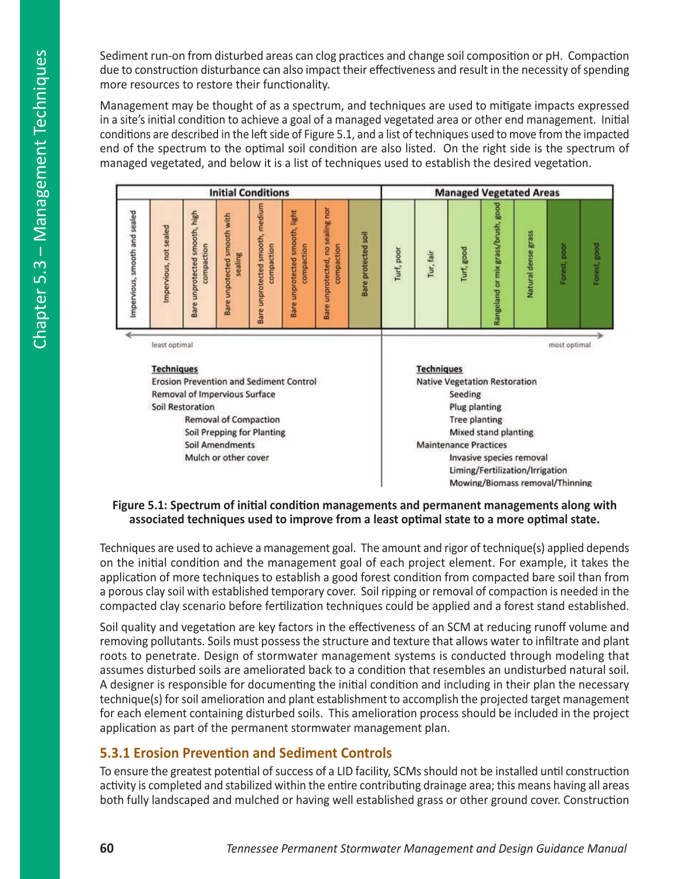Sediment run-on from disturbed areas can clog practices and change soil composition or pH. Compaction due to construction disturbance can also impact their effectiveness and result in the necessity of spending more resources to restore their functionality.

Management may be thought of as a spectrum, and techniques are used to mitigate impacts expressed in a site's initial condition to achieve a goal of a managed vegetated area or other end management. Initial conditions are described in the left side of Figure 5.1, and a list of techniques used to move from the impacted end of the spectrum to the optimal soil condition are also listed. On the right side is the spectrum of managed vegetated, and below it is a list of techniques used to establish the desired vegetation.

|                               |                                                   |                                                | <b>Initial Conditions</b>              |                                               |                                              |                                                     |                              |                                      |                          | <b>Managed Vegetated Areas</b> |                                    |                                 |              |              |
|-------------------------------|---------------------------------------------------|------------------------------------------------|----------------------------------------|-----------------------------------------------|----------------------------------------------|-----------------------------------------------------|------------------------------|--------------------------------------|--------------------------|--------------------------------|------------------------------------|---------------------------------|--------------|--------------|
| Impervious, smooth and sealed | mpervious, not sealed                             | Bare unprotected smooth, high<br>compaction    | Bare unpotected smooth with<br>sealing | Bare unprotected smooth, medium<br>compaction | Bare unprotected smooth, light<br>compaction | sealing nor<br>compaction<br>2<br>Bare unprotected, | Bare protected soil          | Turf, poor                           | Tur, fair                | Turf, good                     | Rangeland or mix grass/brush, good | Natural dense grass             | Forest, poor | Forest, good |
|                               | least optimal                                     |                                                |                                        |                                               |                                              |                                                     |                              |                                      |                          |                                |                                    |                                 | most optimal |              |
|                               | <b>Techniques</b>                                 |                                                |                                        |                                               |                                              |                                                     |                              |                                      | <b>Techniques</b>        |                                |                                    |                                 |              |              |
|                               |                                                   | <b>Erosion Prevention and Sediment Control</b> |                                        |                                               |                                              |                                                     |                              | <b>Native Vegetation Restoration</b> |                          |                                |                                    |                                 |              |              |
|                               | Removal of Impervious Surface<br>Soil Restoration |                                                |                                        |                                               |                                              |                                                     |                              |                                      | Seeding<br>Plug planting |                                |                                    |                                 |              |              |
|                               | <b>Removal of Compaction</b>                      |                                                |                                        |                                               |                                              |                                                     |                              | <b>Tree planting</b>                 |                          |                                |                                    |                                 |              |              |
|                               | Soil Prepping for Planting                        |                                                |                                        |                                               |                                              |                                                     | Mixed stand planting         |                                      |                          |                                |                                    |                                 |              |              |
|                               | Soil Amendments                                   |                                                |                                        |                                               |                                              |                                                     | <b>Maintenance Practices</b> |                                      |                          |                                |                                    |                                 |              |              |
|                               | Mulch or other cover                              |                                                |                                        |                                               |                                              |                                                     |                              |                                      |                          |                                | Invasive species removal           |                                 |              |              |
|                               |                                                   |                                                |                                        |                                               |                                              |                                                     |                              |                                      |                          |                                |                                    | Liming/Fertilization/Irrigation |              |              |
|                               |                                                   |                                                |                                        |                                               |                                              |                                                     |                              |                                      |                          |                                |                                    | Mowing/Biomass removal/Thinning |              |              |

### **Figure 5.1: Spectrum of initial condition managements and permanent managements along with associated techniques used to improve from a least optimal state to a more optimal state.**

Techniques are used to achieve a management goal. The amount and rigor of technique(s) applied depends on the initial condition and the management goal of each project element. For example, it takes the application of more techniques to establish a good forest condition from compacted bare soil than from a porous clay soil with established temporary cover. Soil ripping or removal of compaction is needed in the compacted clay scenario before fertilization techniques could be applied and a forest stand established.

Soil quality and vegetation are key factors in the effectiveness of an SCM at reducing runoff volume and removing pollutants. Soils must possess the structure and texture that allows water to infiltrate and plant roots to penetrate. Design of stormwater management systems is conducted through modeling that assumes disturbed soils are ameliorated back to a condition that resembles an undisturbed natural soil. A designer is responsible for documenting the initial condition and including in their plan the necessary technique(s) for soil amelioration and plant establishment to accomplish the projected target management for each element containing disturbed soils. This amelioration process should be included in the project application as part of the permanent stormwater management plan.

# **5.3.1 Erosion Prevention and Sediment Controls**

To ensure the greatest potential of success of a LID facility, SCMs should not be installed until construction activity is completed and stabilized within the entire contributing drainage area; this means having all areas both fully landscaped and mulched or having well established grass or other ground cover. Construction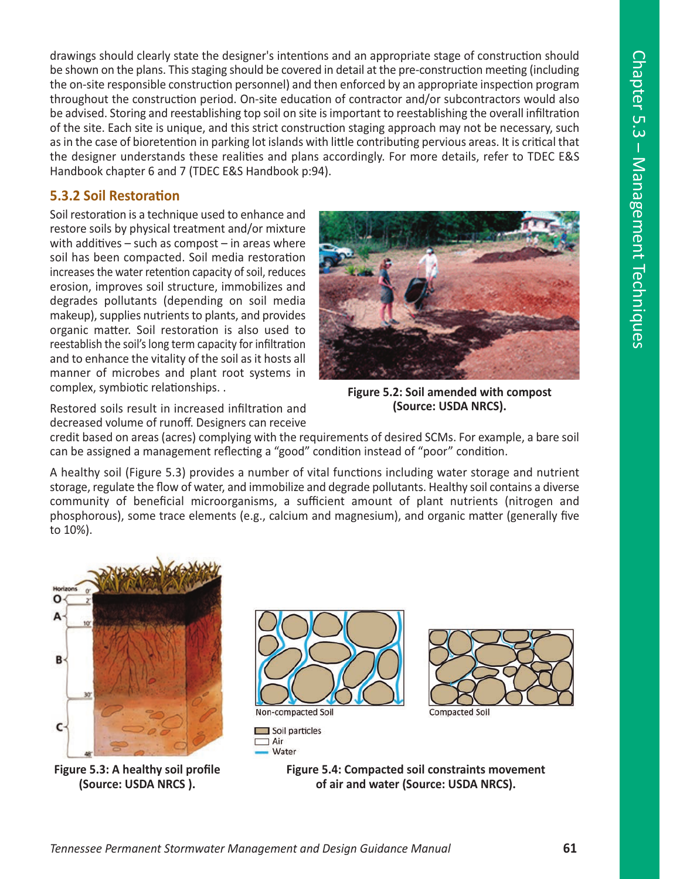drawings should clearly state the designer's intentions and an appropriate stage of construction should be shown on the plans. This staging should be covered in detail at the pre-construction meeting (including the on-site responsible construction personnel) and then enforced by an appropriate inspection program throughout the construction period. On-site education of contractor and/or subcontractors would also be advised. Storing and reestablishing top soil on site is important to reestablishing the overall infiltration of the site. Each site is unique, and this strict construction staging approach may not be necessary, such as in the case of bioretention in parking lot islands with little contributing pervious areas. It is critical that the designer understands these realities and plans accordingly. For more details, refer to TDEC E&S Handbook chapter 6 and 7 (TDEC E&S Handbook p:94).

## **5.3.2 Soil Restoration**

Soil restoration is a technique used to enhance and restore soils by physical treatment and/or mixture with additives  $-$  such as compost  $-$  in areas where soil has been compacted. Soil media restoration increases the water retention capacity of soil, reduces erosion, improves soil structure, immobilizes and degrades pollutants (depending on soil media makeup), supplies nutrients to plants, and provides organic matter. Soil restoration is also used to reestablish the soil's long term capacity for infiltration and to enhance the vitality of the soil as it hosts all manner of microbes and plant root systems in complex, symbiotic relationships. .



**Figure 5.2: Soil amended with compost (Source: USDA NRCS).**

Restored soils result in increased infiltration and decreased volume of runoff. Designers can receive

credit based on areas (acres) complying with the requirements of desired SCMs. For example, a bare soil can be assigned a management reflecting a "good" condition instead of "poor" condition.

A healthy soil (Figure 5.3) provides a number of vital functions including water storage and nutrient storage, regulate the flow of water, and immobilize and degrade pollutants. Healthy soil contains a diverse community of beneficial microorganisms, a sufficient amount of plant nutrients (nitrogen and phosphorous), some trace elements (e.g., calcium and magnesium), and organic matter (generally five to 10%).



**Figure 5.3: A healthy soil profile (Source: USDA NRCS ).**



Non-compacted Soil  $\Box$  Soil particles  $\Box$  Air

**Water** 



**Figure 5.4: Compacted soil constraints movement of air and water (Source: USDA NRCS).**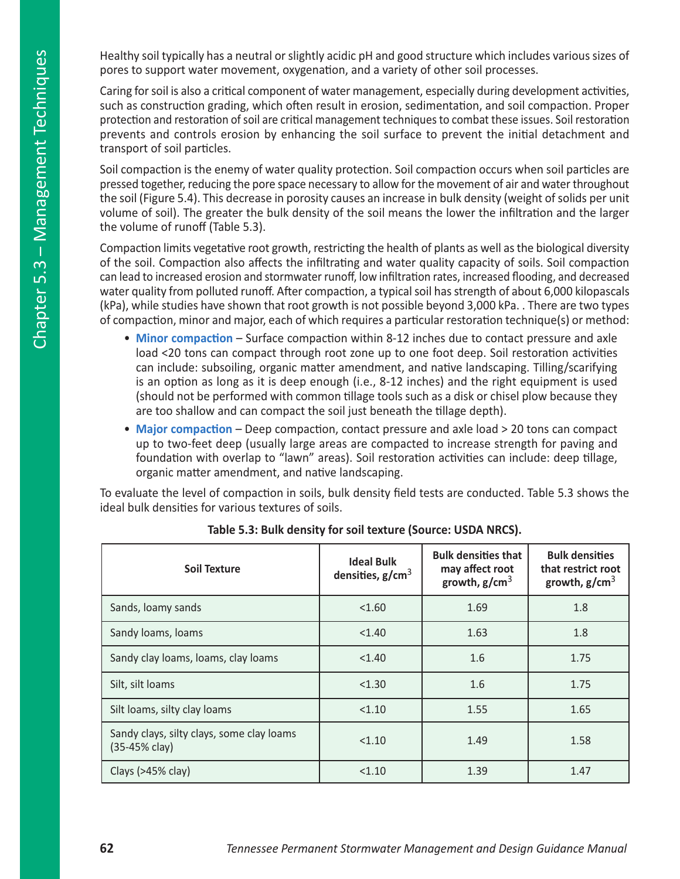Healthy soil typically has a neutral or slightly acidic pH and good structure which includes various sizes of pores to support water movement, oxygenation, and a variety of other soil processes.

Caring for soil is also a critical component of water management, especially during development activities, such as construction grading, which often result in erosion, sedimentation, and soil compaction. Proper protection and restoration of soil are critical management techniques to combat these issues. Soil restoration prevents and controls erosion by enhancing the soil surface to prevent the initial detachment and transport of soil particles.

Soil compaction is the enemy of water quality protection. Soil compaction occurs when soil particles are pressed together, reducing the pore space necessary to allow for the movement of air and water throughout the soil (Figure 5.4). This decrease in porosity causes an increase in bulk density (weight of solids per unit volume of soil). The greater the bulk density of the soil means the lower the infiltration and the larger the volume of runoff (Table 5.3).

Compaction limits vegetative root growth, restricting the health of plants as well as the biological diversity of the soil. Compaction also affects the infiltrating and water quality capacity of soils. Soil compaction can lead to increased erosion and stormwater runoff, low infiltration rates, increased flooding, and decreased water quality from polluted runoff. After compaction, a typical soil has strength of about 6,000 kilopascals (kPa), while studies have shown that root growth is not possible beyond 3,000 kPa. . There are two types of compaction, minor and major, each of which requires a particular restoration technique(s) or method:

- **Minor compaction** Surface compaction within 8-12 inches due to contact pressure and axle load <20 tons can compact through root zone up to one foot deep. Soil restoration activities can include: subsoiling, organic matter amendment, and native landscaping. Tilling/scarifying is an option as long as it is deep enough (i.e., 8-12 inches) and the right equipment is used (should not be performed with common tillage tools such as a disk or chisel plow because they are too shallow and can compact the soil just beneath the tillage depth).
- **Major compaction** Deep compaction, contact pressure and axle load > 20 tons can compact up to two-feet deep (usually large areas are compacted to increase strength for paving and foundation with overlap to "lawn" areas). Soil restoration activities can include: deep tillage, organic matter amendment, and native landscaping.

To evaluate the level of compaction in soils, bulk density field tests are conducted. Table 5.3 shows the ideal bulk densities for various textures of soils.

| Soil Texture                                               | <b>Ideal Bulk</b><br>densities, $g/cm3$ | <b>Bulk densities that</b><br>may affect root<br>growth, $g/cm3$ | <b>Bulk densities</b><br>that restrict root<br>growth, $g/cm3$ |
|------------------------------------------------------------|-----------------------------------------|------------------------------------------------------------------|----------------------------------------------------------------|
| Sands, loamy sands                                         | < 1.60                                  | 1.69                                                             | 1.8                                                            |
| Sandy loams, loams                                         | < 1.40                                  | 1.63                                                             | 1.8                                                            |
| Sandy clay loams, loams, clay loams                        | < 1.40                                  | 1.6                                                              | 1.75                                                           |
| Silt, silt loams                                           | < 1.30                                  | 1.6                                                              | 1.75                                                           |
| Silt loams, silty clay loams                               | < 1.10                                  | 1.55                                                             | 1.65                                                           |
| Sandy clays, silty clays, some clay loams<br>(35-45% clay) | < 1.10                                  | 1.49                                                             | 1.58                                                           |
| Clays $(>45\%$ clay)                                       | < 1.10                                  | 1.39                                                             | 1.47                                                           |

**Table 5.3: Bulk density for soil texture (Source: USDA NRCS).**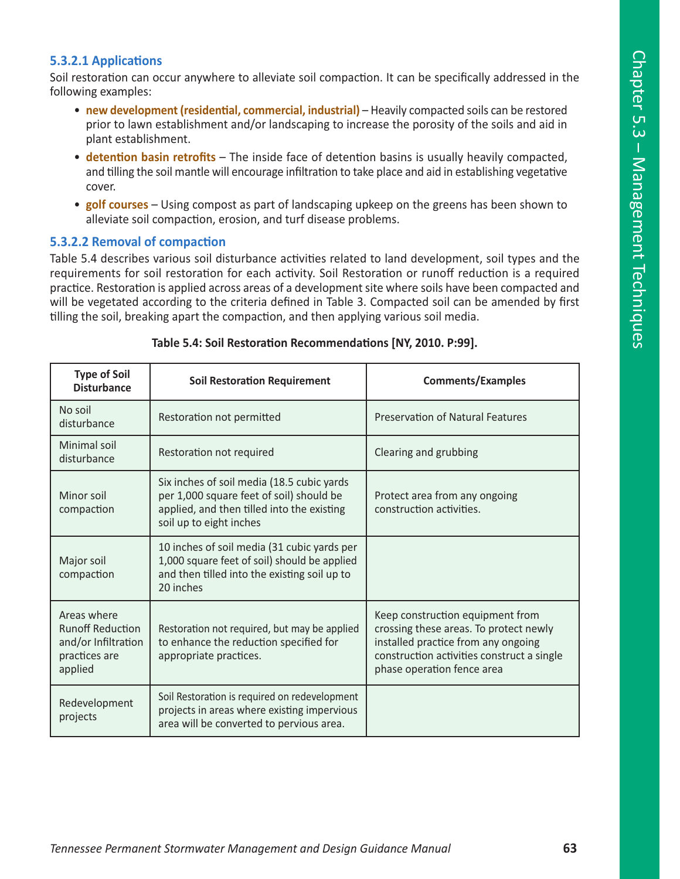## **5.3.2.1 Applications**

Soil restoration can occur anywhere to alleviate soil compaction. It can be specifically addressed in the following examples:

- **new development (residential, commercial, industrial)** Heavily compacted soils can be restored prior to lawn establishment and/or landscaping to increase the porosity of the soils and aid in plant establishment.
- **detention basin retrofits** The inside face of detention basins is usually heavily compacted, and tilling the soil mantle will encourage infiltration to take place and aid in establishing vegetative cover.
- **golf courses** Using compost as part of landscaping upkeep on the greens has been shown to alleviate soil compaction, erosion, and turf disease problems.

### **5.3.2.2 Removal of compaction**

Table 5.4 describes various soil disturbance activities related to land development, soil types and the requirements for soil restoration for each activity. Soil Restoration or runoff reduction is a required practice. Restoration is applied across areas of a development site where soils have been compacted and will be vegetated according to the criteria defined in Table 3. Compacted soil can be amended by first tilling the soil, breaking apart the compaction, and then applying various soil media.

| <b>Type of Soil</b><br><b>Disturbance</b>                                                 | <b>Soil Restoration Requirement</b>                                                                                                                             | <b>Comments/Examples</b>                                                                                                                                                                      |
|-------------------------------------------------------------------------------------------|-----------------------------------------------------------------------------------------------------------------------------------------------------------------|-----------------------------------------------------------------------------------------------------------------------------------------------------------------------------------------------|
| No soil<br>disturbance                                                                    | Restoration not permitted                                                                                                                                       | <b>Preservation of Natural Features</b>                                                                                                                                                       |
| Minimal soil<br>disturbance                                                               | Restoration not required                                                                                                                                        | Clearing and grubbing                                                                                                                                                                         |
| Minor soil<br>compaction                                                                  | Six inches of soil media (18.5 cubic yards<br>per 1,000 square feet of soil) should be<br>applied, and then tilled into the existing<br>soil up to eight inches | Protect area from any ongoing<br>construction activities.                                                                                                                                     |
| Major soil<br>compaction                                                                  | 10 inches of soil media (31 cubic yards per<br>1,000 square feet of soil) should be applied<br>and then tilled into the existing soil up to<br>20 inches        |                                                                                                                                                                                               |
| Areas where<br><b>Runoff Reduction</b><br>and/or Infiltration<br>practices are<br>applied | Restoration not required, but may be applied<br>to enhance the reduction specified for<br>appropriate practices.                                                | Keep construction equipment from<br>crossing these areas. To protect newly<br>installed practice from any ongoing<br>construction activities construct a single<br>phase operation fence area |
| Redevelopment<br>projects                                                                 | Soil Restoration is required on redevelopment<br>projects in areas where existing impervious<br>area will be converted to pervious area.                        |                                                                                                                                                                                               |

#### **Table 5.4: Soil Restoration Recommendations [NY, 2010. P:99].**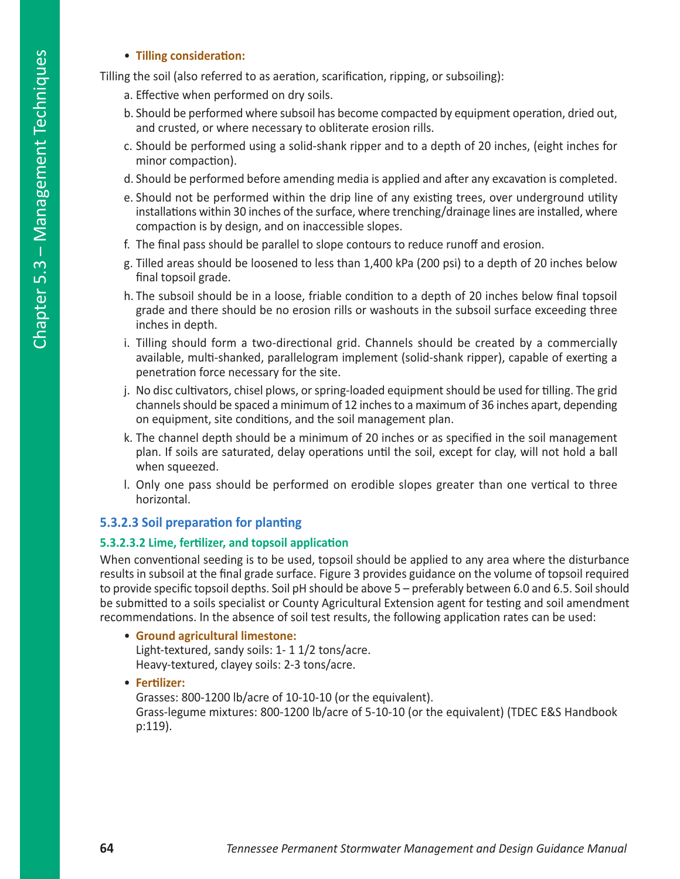## • **Tilling consideration:**

Tilling the soil (also referred to as aeration, scarification, ripping, or subsoiling):

- a. Effective when performed on dry soils.
- b. Should be performed where subsoil has become compacted by equipment operation, dried out, and crusted, or where necessary to obliterate erosion rills.
- c. Should be performed using a solid-shank ripper and to a depth of 20 inches, (eight inches for minor compaction).
- d. Should be performed before amending media is applied and after any excavation is completed.
- e. Should not be performed within the drip line of any existing trees, over underground utility installations within 30 inches of the surface, where trenching/drainage lines are installed, where compaction is by design, and on inaccessible slopes.
- f. The final pass should be parallel to slope contours to reduce runoff and erosion.
- g. Tilled areas should be loosened to less than 1,400 kPa (200 psi) to a depth of 20 inches below final topsoil grade.
- h. The subsoil should be in a loose, friable condition to a depth of 20 inches below final topsoil grade and there should be no erosion rills or washouts in the subsoil surface exceeding three inches in depth.
- i. Tilling should form a two-directional grid. Channels should be created by a commercially available, multi-shanked, parallelogram implement (solid-shank ripper), capable of exerting a penetration force necessary for the site.
- j. No disc cultivators, chisel plows, or spring-loaded equipment should be used for tilling. The grid channels should be spaced a minimum of 12 inches to a maximum of 36 inches apart, depending on equipment, site conditions, and the soil management plan.
- k. The channel depth should be a minimum of 20 inches or as specified in the soil management plan. If soils are saturated, delay operations until the soil, except for clay, will not hold a ball when squeezed.
- l. Only one pass should be performed on erodible slopes greater than one vertical to three horizontal.

## **5.3.2.3 Soil preparation for planting**

## **5.3.2.3.2 Lime, fertilizer, and topsoil application**

When conventional seeding is to be used, topsoil should be applied to any area where the disturbance results in subsoil at the final grade surface. Figure 3 provides guidance on the volume of topsoil required to provide specific topsoil depths. Soil pH should be above 5 – preferably between 6.0 and 6.5. Soil should be submitted to a soils specialist or County Agricultural Extension agent for testing and soil amendment recommendations. In the absence of soil test results, the following application rates can be used:

- **Ground agricultural limestone:** Light-textured, sandy soils: 1- 1 1/2 tons/acre. Heavy-textured, clayey soils: 2-3 tons/acre.
- **Fertilizer:**

Grasses: 800-1200 lb/acre of 10-10-10 (or the equivalent). Grass-legume mixtures: 800-1200 lb/acre of 5-10-10 (or the equivalent) (TDEC E&S Handbook p:119).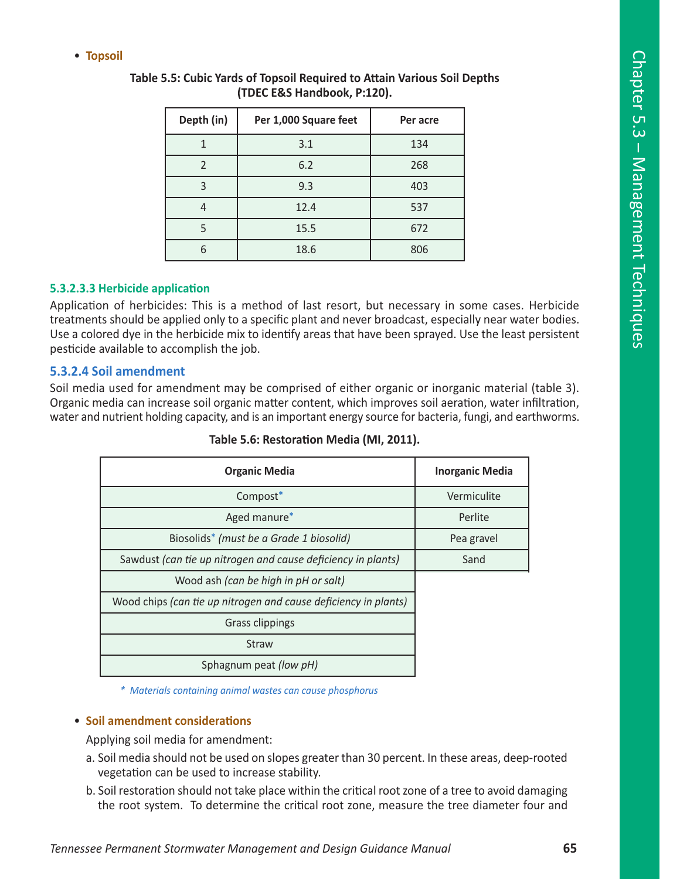• **Topsoil**

| Depth (in) | Per 1,000 Square feet | Per acre |
|------------|-----------------------|----------|
|            | 3.1                   | 134      |
| っ          | 6.2                   | 268      |
| 3          | 9.3                   | 403      |
|            | 12.4                  | 537      |
|            | 15.5                  | 672      |
|            | 18.6                  | 806      |

## **Table 5.5: Cubic Yards of Topsoil Required to Attain Various Soil Depths (TDEC E&S Handbook, P:120).**

## **5.3.2.3.3 Herbicide application**

Application of herbicides: This is a method of last resort, but necessary in some cases. Herbicide treatments should be applied only to a specific plant and never broadcast, especially near water bodies. Use a colored dye in the herbicide mix to identify areas that have been sprayed. Use the least persistent pesticide available to accomplish the job.

## **5.3.2.4 Soil amendment**

Soil media used for amendment may be comprised of either organic or inorganic material (table 3). Organic media can increase soil organic matter content, which improves soil aeration, water infiltration, water and nutrient holding capacity, and is an important energy source for bacteria, fungi, and earthworms.

| <b>Organic Media</b>                                            | <b>Inorganic Media</b> |
|-----------------------------------------------------------------|------------------------|
| Compost*                                                        | Vermiculite            |
| Aged manure*                                                    | Perlite                |
| Biosolids <sup>*</sup> (must be a Grade 1 biosolid)             | Pea gravel             |
| Sawdust (can tie up nitrogen and cause deficiency in plants)    | Sand                   |
| Wood ash (can be high in pH or salt)                            |                        |
| Wood chips (can tie up nitrogen and cause deficiency in plants) |                        |
| <b>Grass clippings</b>                                          |                        |
| <b>Straw</b>                                                    |                        |
| Sphagnum peat (low pH)                                          |                        |

**Table 5.6: Restoration Media (MI, 2011).**

*\* Materials containing animal wastes can cause phosphorus*

### • **Soil amendment considerations**

Applying soil media for amendment:

- a. Soil media should not be used on slopes greater than 30 percent. In these areas, deep-rooted vegetation can be used to increase stability.
- b. Soil restoration should not take place within the critical root zone of a tree to avoid damaging the root system. To determine the critical root zone, measure the tree diameter four and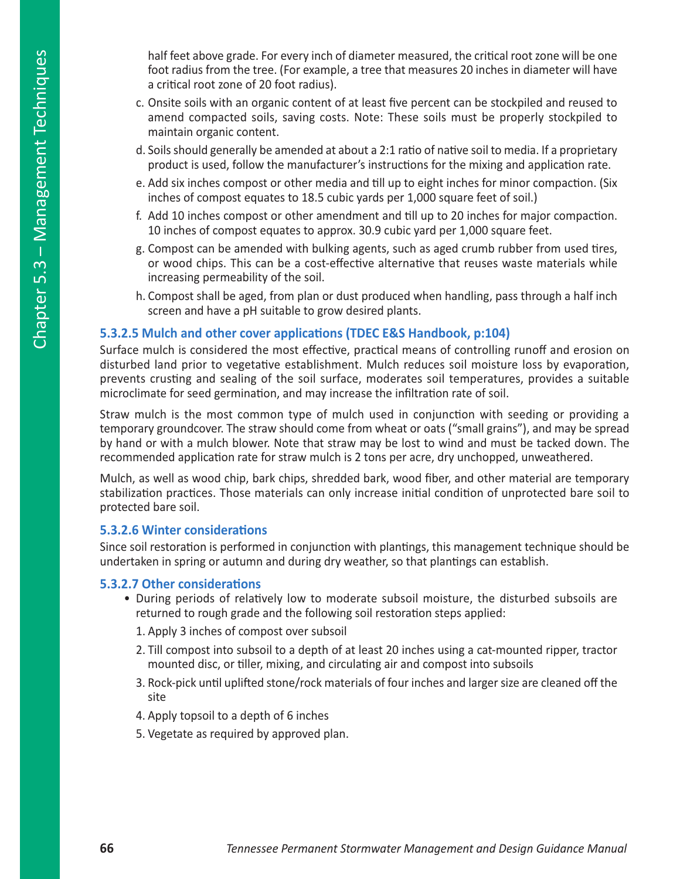- c. Onsite soils with an organic content of at least five percent can be stockpiled and reused to amend compacted soils, saving costs. Note: These soils must be properly stockpiled to maintain organic content.
- d. Soils should generally be amended at about a 2:1 ratio of native soil to media. If a proprietary product is used, follow the manufacturer's instructions for the mixing and application rate.
- e. Add six inches compost or other media and till up to eight inches for minor compaction. (Six inches of compost equates to 18.5 cubic yards per 1,000 square feet of soil.)
- f. Add 10 inches compost or other amendment and till up to 20 inches for major compaction. 10 inches of compost equates to approx. 30.9 cubic yard per 1,000 square feet.
- g. Compost can be amended with bulking agents, such as aged crumb rubber from used tires, or wood chips. This can be a cost-effective alternative that reuses waste materials while increasing permeability of the soil.
- h. Compost shall be aged, from plan or dust produced when handling, pass through a half inch screen and have a pH suitable to grow desired plants.

## **5.3.2.5 Mulch and other cover applications (TDEC E&S Handbook, p:104)**

Surface mulch is considered the most effective, practical means of controlling runoff and erosion on disturbed land prior to vegetative establishment. Mulch reduces soil moisture loss by evaporation, prevents crusting and sealing of the soil surface, moderates soil temperatures, provides a suitable microclimate for seed germination, and may increase the infiltration rate of soil.

Straw mulch is the most common type of mulch used in conjunction with seeding or providing a temporary groundcover. The straw should come from wheat or oats ("small grains"), and may be spread by hand or with a mulch blower. Note that straw may be lost to wind and must be tacked down. The recommended application rate for straw mulch is 2 tons per acre, dry unchopped, unweathered.

Mulch, as well as wood chip, bark chips, shredded bark, wood fiber, and other material are temporary stabilization practices. Those materials can only increase initial condition of unprotected bare soil to protected bare soil.

## **5.3.2.6 Winter considerations**

Since soil restoration is performed in conjunction with plantings, this management technique should be undertaken in spring or autumn and during dry weather, so that plantings can establish.

## **5.3.2.7 Other considerations**

- During periods of relatively low to moderate subsoil moisture, the disturbed subsoils are returned to rough grade and the following soil restoration steps applied:
	- 1. Apply 3 inches of compost over subsoil
	- 2. Till compost into subsoil to a depth of at least 20 inches using a cat-mounted ripper, tractor mounted disc, or tiller, mixing, and circulating air and compost into subsoils
	- 3. Rock-pick until uplifted stone/rock materials of four inches and larger size are cleaned off the site
	- 4. Apply topsoil to a depth of 6 inches
	- 5. Vegetate as required by approved plan.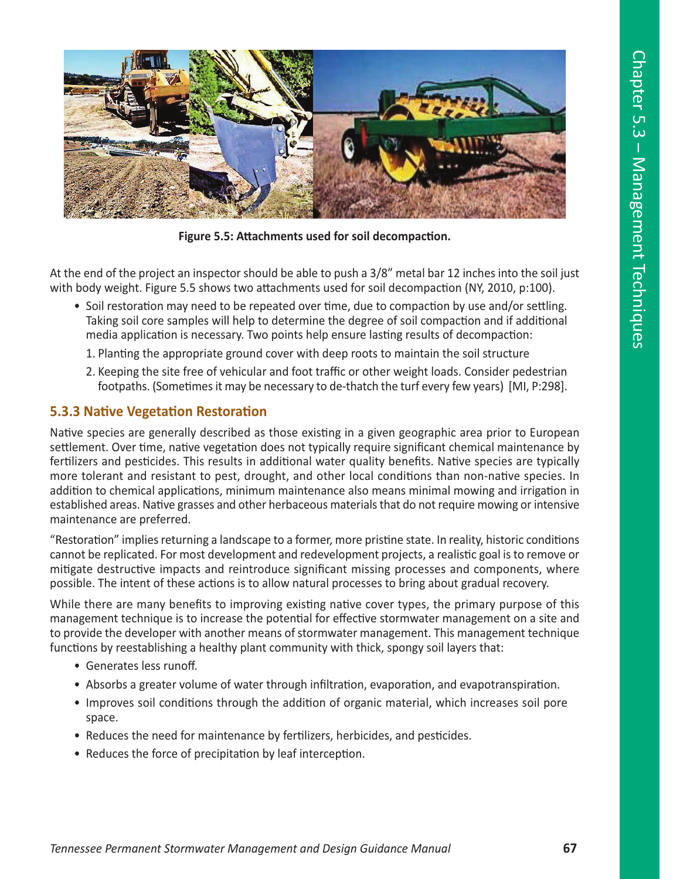

**Figure 5.5: Attachments used for soil decompaction.**

At the end of the project an inspector should be able to push a 3/8" metal bar 12 inches into the soil just with body weight. Figure 5.5 shows two attachments used for soil decompaction (NY, 2010, p:100).

- Soil restoration may need to be repeated over time, due to compaction by use and/or settling. Taking soil core samples will help to determine the degree of soil compaction and if additional media application is necessary. Two points help ensure lasting results of decompaction:
	- 1. Planting the appropriate ground cover with deep roots to maintain the soil structure
	- 2. Keeping the site free of vehicular and foot traffic or other weight loads. Consider pedestrian footpaths. (Sometimes it may be necessary to de-thatch the turf every few years) [MI, P:298].

## **5.3.3 Native Vegetation Restoration**

Native species are generally described as those existing in a given geographic area prior to European settlement. Over time, native vegetation does not typically require significant chemical maintenance by fertilizers and pesticides. This results in additional water quality benefits. Native species are typically more tolerant and resistant to pest, drought, and other local conditions than non-native species. In addition to chemical applications, minimum maintenance also means minimal mowing and irrigation in established areas. Native grasses and other herbaceous materials that do not require mowing or intensive maintenance are preferred.

"Restoration" implies returning a landscape to a former, more pristine state. In reality, historic conditions cannot be replicated. For most development and redevelopment projects, a realistic goal is to remove or mitigate destructive impacts and reintroduce significant missing processes and components, where possible. The intent of these actions is to allow natural processes to bring about gradual recovery.

While there are many benefits to improving existing native cover types, the primary purpose of this management technique is to increase the potential for effective stormwater management on a site and to provide the developer with another means of stormwater management. This management technique functions by reestablishing a healthy plant community with thick, spongy soil layers that:

- Generates less runoff.
- Absorbs a greater volume of water through infiltration, evaporation, and evapotranspiration.
- Improves soil conditions through the addition of organic material, which increases soil pore space.
- Reduces the need for maintenance by fertilizers, herbicides, and pesticides.
- Reduces the force of precipitation by leaf interception.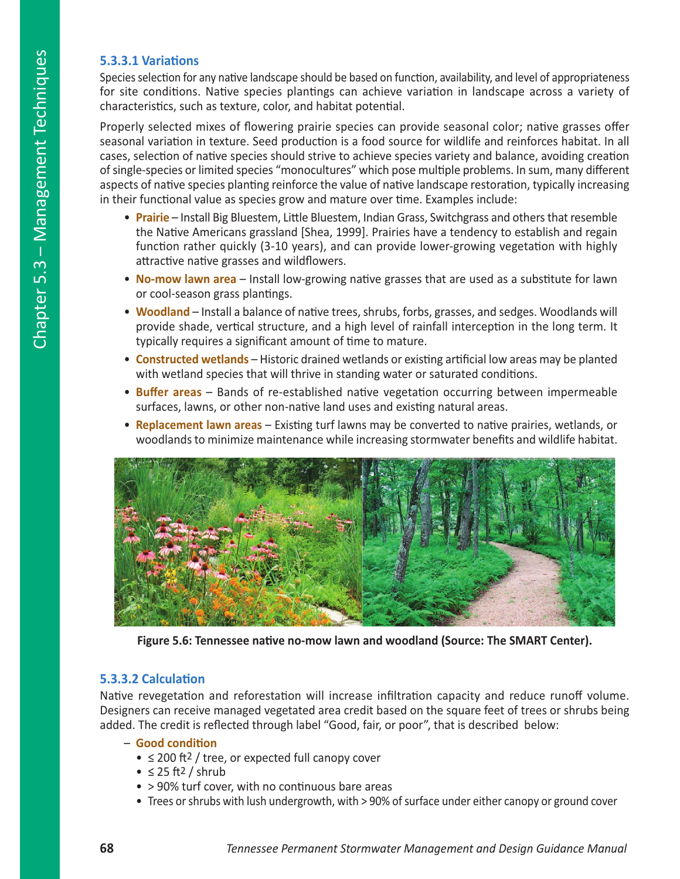## **5.3.3.1 Variations**

Species selection for any native landscape should be based on function, availability, and level of appropriateness for site conditions. Native species plantings can achieve variation in landscape across a variety of characteristics, such as texture, color, and habitat potential.

Properly selected mixes of flowering prairie species can provide seasonal color; native grasses offer seasonal variation in texture. Seed production is a food source for wildlife and reinforces habitat. In all cases, selection of native species should strive to achieve species variety and balance, avoiding creation of single-species or limited species "monocultures" which pose multiple problems. In sum, many different aspects of native species planting reinforce the value of native landscape restoration, typically increasing in their functional value as species grow and mature over time. Examples include:

- **Prairie** Install Big Bluestem, Little Bluestem, Indian Grass, Switchgrass and others that resemble the Native Americans grassland [Shea, 1999]. Prairies have a tendency to establish and regain function rather quickly (3-10 years), and can provide lower-growing vegetation with highly attractive native grasses and wildflowers.
- **No-mow lawn area** Install low-growing native grasses that are used as a substitute for lawn or cool-season grass plantings.
- **Woodland** Install a balance of native trees, shrubs, forbs, grasses, and sedges. Woodlands will provide shade, vertical structure, and a high level of rainfall interception in the long term. It typically requires a significant amount of time to mature.
- **Constructed wetlands** Historic drained wetlands or existing artificial low areas may be planted with wetland species that will thrive in standing water or saturated conditions.
- **Buffer areas**  Bands of re-established native vegetation occurring between impermeable surfaces, lawns, or other non-native land uses and existing natural areas.
- **Replacement lawn areas** Existing turf lawns may be converted to native prairies, wetlands, or woodlands to minimize maintenance while increasing stormwater benefits and wildlife habitat.



**Figure 5.6: Tennessee native no-mow lawn and woodland (Source: The SMART Center).**

## **5.3.3.2 Calculation**

Native revegetation and reforestation will increase infiltration capacity and reduce runoff volume. Designers can receive managed vegetated area credit based on the square feet of trees or shrubs being added. The credit is reflected through label "Good, fair, or poor", that is described below:

### – **Good condition**

- ≤ 200 ft2 / tree, or expected full canopy cover
- $≤ 25 ft<sup>2</sup> / shrub$
- > 90% turf cover, with no continuous bare areas
- Trees or shrubs with lush undergrowth, with > 90% of surface under either canopy or ground cover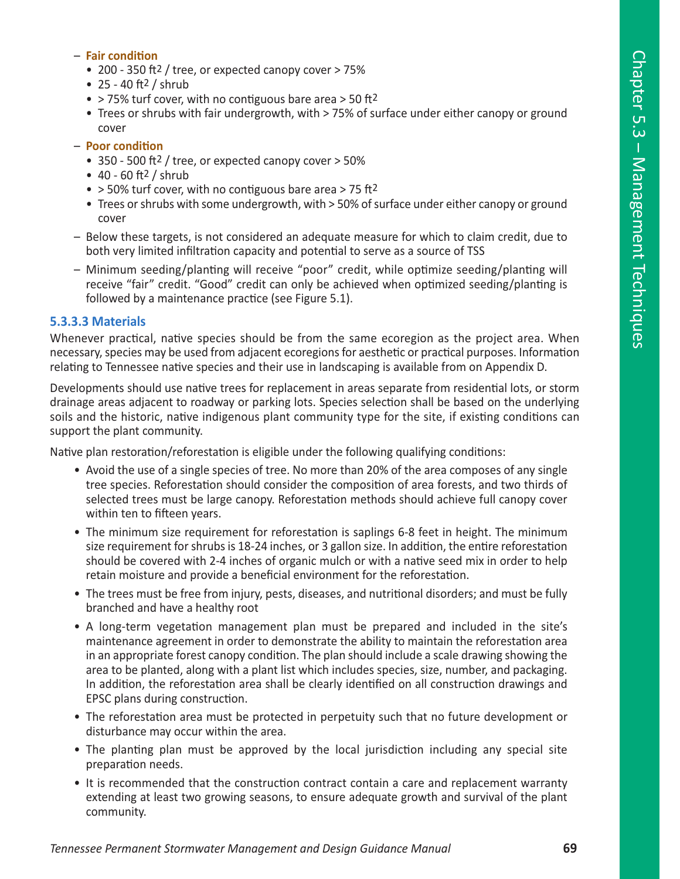#### – **Fair condition**

- 200 350 ft2 / tree, or expected canopy cover > 75%
- $25 40$  ft<sup>2</sup> / shrub
- > 75% turf cover, with no contiguous bare area > 50 ft2
- Trees or shrubs with fair undergrowth, with > 75% of surface under either canopy or ground cover
- **Poor condition**
	- 350 500 ft2 / tree, or expected canopy cover > 50%
	- $40 60$  ft<sup>2</sup> / shrub
	- $\bullet$  > 50% turf cover, with no contiguous bare area > 75 ft<sup>2</sup>
	- Trees or shrubs with some undergrowth, with > 50% of surface under either canopy or ground cover
- Below these targets, is not considered an adequate measure for which to claim credit, due to both very limited infiltration capacity and potential to serve as a source of TSS
- Minimum seeding/planting will receive "poor" credit, while optimize seeding/planting will receive "fair" credit. "Good" credit can only be achieved when optimized seeding/planting is followed by a maintenance practice (see Figure 5.1).

## **5.3.3.3 Materials**

Whenever practical, native species should be from the same ecoregion as the project area. When necessary, species may be used from adjacent ecoregions for aesthetic or practical purposes. Information relating to Tennessee native species and their use in landscaping is available from on Appendix D.

Developments should use native trees for replacement in areas separate from residential lots, or storm drainage areas adjacent to roadway or parking lots. Species selection shall be based on the underlying soils and the historic, native indigenous plant community type for the site, if existing conditions can support the plant community.

Native plan restoration/reforestation is eligible under the following qualifying conditions:

- Avoid the use of a single species of tree. No more than 20% of the area composes of any single tree species. Reforestation should consider the composition of area forests, and two thirds of selected trees must be large canopy. Reforestation methods should achieve full canopy cover within ten to fifteen years.
- The minimum size requirement for reforestation is saplings 6-8 feet in height. The minimum size requirement for shrubs is 18-24 inches, or 3 gallon size. In addition, the entire reforestation should be covered with 2-4 inches of organic mulch or with a native seed mix in order to help retain moisture and provide a beneficial environment for the reforestation.
- The trees must be free from injury, pests, diseases, and nutritional disorders; and must be fully branched and have a healthy root
- A long-term vegetation management plan must be prepared and included in the site's maintenance agreement in order to demonstrate the ability to maintain the reforestation area in an appropriate forest canopy condition. The plan should include a scale drawing showing the area to be planted, along with a plant list which includes species, size, number, and packaging. In addition, the reforestation area shall be clearly identified on all construction drawings and EPSC plans during construction.
- The reforestation area must be protected in perpetuity such that no future development or disturbance may occur within the area.
- The planting plan must be approved by the local jurisdiction including any special site preparation needs.
- It is recommended that the construction contract contain a care and replacement warranty extending at least two growing seasons, to ensure adequate growth and survival of the plant community.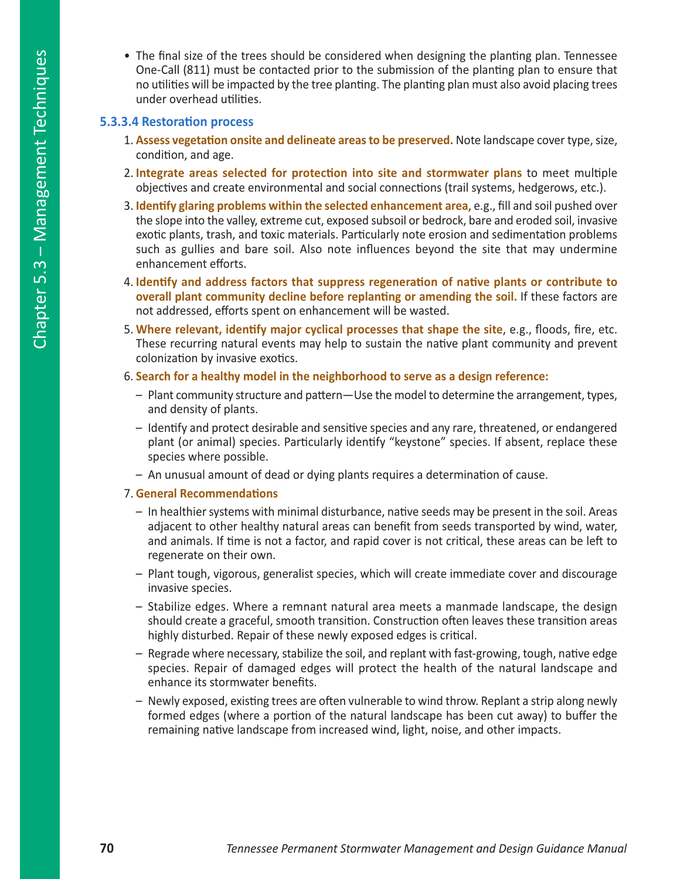• The final size of the trees should be considered when designing the planting plan. Tennessee One-Call (811) must be contacted prior to the submission of the planting plan to ensure that no utilities will be impacted by the tree planting. The planting plan must also avoid placing trees under overhead utilities.

## **5.3.3.4 Restoration process**

- 1. **Assess vegetation onsite and delineate areas to be preserved.** Note landscape cover type, size, condition, and age.
- 2. **Integrate areas selected for protection into site and stormwater plans** to meet multiple objectives and create environmental and social connections (trail systems, hedgerows, etc.).
- 3. **Identify glaring problems within the selected enhancement area**, e.g., fill and soil pushed over the slope into the valley, extreme cut, exposed subsoil or bedrock, bare and eroded soil, invasive exotic plants, trash, and toxic materials. Particularly note erosion and sedimentation problems such as gullies and bare soil. Also note influences beyond the site that may undermine enhancement efforts.
- 4. **Identify and address factors that suppress regeneration of native plants or contribute to overall plant community decline before replanting or amending the soil.** If these factors are not addressed, efforts spent on enhancement will be wasted.
- 5. **Where relevant, identify major cyclical processes that shape the site**, e.g., floods, fire, etc. These recurring natural events may help to sustain the native plant community and prevent colonization by invasive exotics.
- 6. **Search for a healthy model in the neighborhood to serve as a design reference:**
	- Plant community structure and pattern—Use the model to determine the arrangement, types, and density of plants.
	- Identify and protect desirable and sensitive species and any rare, threatened, or endangered plant (or animal) species. Particularly identify "keystone" species. If absent, replace these species where possible.
	- An unusual amount of dead or dying plants requires a determination of cause.

#### 7. **General Recommendations**

- In healthier systems with minimal disturbance, native seeds may be present in the soil. Areas adjacent to other healthy natural areas can benefit from seeds transported by wind, water, and animals. If time is not a factor, and rapid cover is not critical, these areas can be left to regenerate on their own.
- Plant tough, vigorous, generalist species, which will create immediate cover and discourage invasive species.
- Stabilize edges. Where a remnant natural area meets a manmade landscape, the design should create a graceful, smooth transition. Construction often leaves these transition areas highly disturbed. Repair of these newly exposed edges is critical.
- Regrade where necessary, stabilize the soil, and replant with fast-growing, tough, native edge species. Repair of damaged edges will protect the health of the natural landscape and enhance its stormwater benefits.
- Newly exposed, existing trees are often vulnerable to wind throw. Replant a strip along newly formed edges (where a portion of the natural landscape has been cut away) to buffer the remaining native landscape from increased wind, light, noise, and other impacts.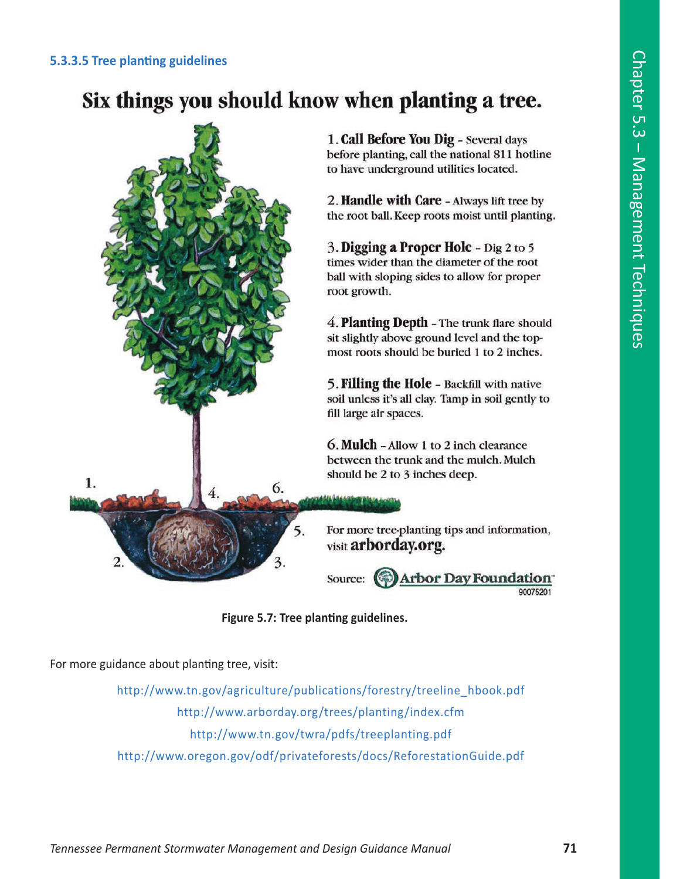### **5.3.3.5 Tree planting guidelines**

# Six things you should know when planting a tree.



**Figure 5.7: Tree planting guidelines.**

For more guidance about planting tree, visit:

http://www.tn.gov/agriculture/publications/forestry/treeline\_hbook.pdf http://www.arborday.org/trees/planting/index.cfm http://www.tn.gov/twra/pdfs/treeplanting.pdf http://www.oregon.gov/odf/privateforests/docs/ReforestationGuide.pdf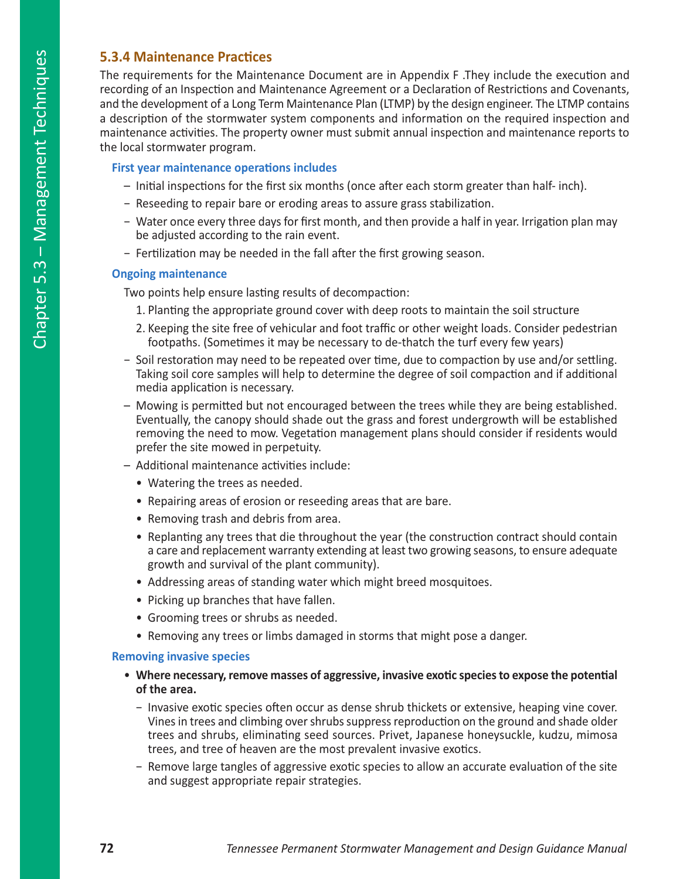## **5.3.4 Maintenance Practices**

The requirements for the Maintenance Document are in Appendix F .They include the execution and recording of an Inspection and Maintenance Agreement or a Declaration of Restrictions and Covenants, and the development of a Long Term Maintenance Plan (LTMP) by the design engineer. The LTMP contains a description of the stormwater system components and information on the required inspection and maintenance activities. The property owner must submit annual inspection and maintenance reports to the local stormwater program.

## **First year maintenance operations includes**

- Initial inspections for the first six months (once after each storm greater than half- inch).
- − Reseeding to repair bare or eroding areas to assure grass stabilization.
- − Water once every three days for first month, and then provide a half in year. Irrigation plan may be adjusted according to the rain event.
- − Fertilization may be needed in the fall after the first growing season.

### **Ongoing maintenance**

Two points help ensure lasting results of decompaction:

- 1. Planting the appropriate ground cover with deep roots to maintain the soil structure
- 2. Keeping the site free of vehicular and foot traffic or other weight loads. Consider pedestrian footpaths. (Sometimes it may be necessary to de-thatch the turf every few years)
- − Soil restoration may need to be repeated over time, due to compaction by use and/or settling. Taking soil core samples will help to determine the degree of soil compaction and if additional media application is necessary.
- Mowing is permitted but not encouraged between the trees while they are being established. Eventually, the canopy should shade out the grass and forest undergrowth will be established removing the need to mow. Vegetation management plans should consider if residents would prefer the site mowed in perpetuity.
- Additional maintenance activities include:
	- Watering the trees as needed.
	- Repairing areas of erosion or reseeding areas that are bare.
	- Removing trash and debris from area.
	- Replanting any trees that die throughout the year (the construction contract should contain a care and replacement warranty extending at least two growing seasons, to ensure adequate growth and survival of the plant community).
	- Addressing areas of standing water which might breed mosquitoes.
	- Picking up branches that have fallen.
	- Grooming trees or shrubs as needed.
	- Removing any trees or limbs damaged in storms that might pose a danger.

### **Removing invasive species**

- **Where necessary, remove masses of aggressive, invasive exotic species to expose the potential of the area.** 
	- − Invasive exotic species often occur as dense shrub thickets or extensive, heaping vine cover. Vines in trees and climbing over shrubs suppress reproduction on the ground and shade older trees and shrubs, eliminating seed sources. Privet, Japanese honeysuckle, kudzu, mimosa trees, and tree of heaven are the most prevalent invasive exotics.
	- − Remove large tangles of aggressive exotic species to allow an accurate evaluation of the site and suggest appropriate repair strategies.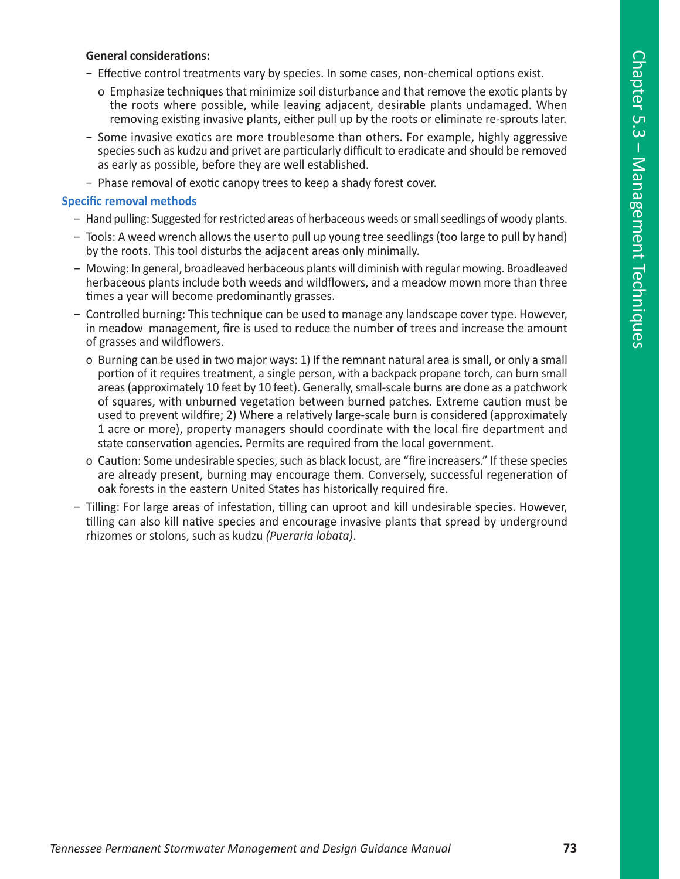#### **General considerations:**

- − Effective control treatments vary by species. In some cases, non-chemical options exist.
	- o Emphasize techniques that minimize soil disturbance and that remove the exotic plants by the roots where possible, while leaving adjacent, desirable plants undamaged. When removing existing invasive plants, either pull up by the roots or eliminate re-sprouts later.
- − Some invasive exotics are more troublesome than others. For example, highly aggressive species such as kudzu and privet are particularly difficult to eradicate and should be removed as early as possible, before they are well established.
- − Phase removal of exotic canopy trees to keep a shady forest cover.

#### **Specific removal methods**

- − Hand pulling: Suggested for restricted areas of herbaceous weeds or small seedlings of woody plants.
- − Tools: A weed wrench allows the user to pull up young tree seedlings (too large to pull by hand) by the roots. This tool disturbs the adjacent areas only minimally.
- − Mowing: In general, broadleaved herbaceous plants will diminish with regular mowing. Broadleaved herbaceous plants include both weeds and wildflowers, and a meadow mown more than three times a year will become predominantly grasses.
- − Controlled burning: This technique can be used to manage any landscape cover type. However, in meadow management, fire is used to reduce the number of trees and increase the amount of grasses and wildflowers.
	- o Burning can be used in two major ways: 1) If the remnant natural area is small, or only a small portion of it requires treatment, a single person, with a backpack propane torch, can burn small areas (approximately 10 feet by 10 feet). Generally, small-scale burns are done as a patchwork of squares, with unburned vegetation between burned patches. Extreme caution must be used to prevent wildfire; 2) Where a relatively large-scale burn is considered (approximately 1 acre or more), property managers should coordinate with the local fire department and state conservation agencies. Permits are required from the local government.
	- o Caution: Some undesirable species, such as black locust, are "fire increasers." If these species are already present, burning may encourage them. Conversely, successful regeneration of oak forests in the eastern United States has historically required fire.
- − Tilling: For large areas of infestation, tilling can uproot and kill undesirable species. However, tilling can also kill native species and encourage invasive plants that spread by underground rhizomes or stolons, such as kudzu *(Pueraria lobata)*.